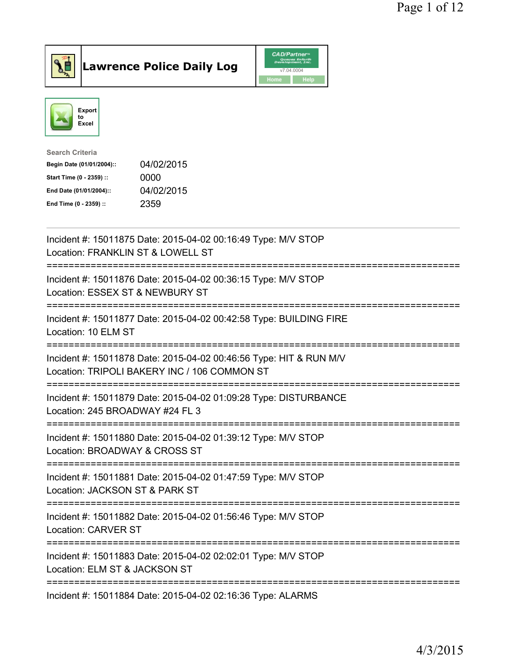

## Lawrence Police Daily Log

|      | <b>CAD/Partner</b> <sup>*</sup><br>Queues Enforth<br>Development, Inc. |
|------|------------------------------------------------------------------------|
|      | v7.04.0004                                                             |
| Home | <b>Help</b>                                                            |



| Search Criteria           |            |
|---------------------------|------------|
| Begin Date (01/01/2004):: | 04/02/2015 |
| Start Time (0 - 2359) ::  | 0000       |
| End Date (01/01/2004)::   | 04/02/2015 |
| End Time (0 - 2359) ::    | 2359       |
|                           |            |

| Incident #: 15011875 Date: 2015-04-02 00:16:49 Type: M/V STOP<br>Location: FRANKLIN ST & LOWELL ST                                          |
|---------------------------------------------------------------------------------------------------------------------------------------------|
| Incident #: 15011876 Date: 2015-04-02 00:36:15 Type: M/V STOP<br>Location: ESSEX ST & NEWBURY ST<br>=========                               |
| Incident #: 15011877 Date: 2015-04-02 00:42:58 Type: BUILDING FIRE<br>Location: 10 ELM ST<br>--------------------                           |
| Incident #: 15011878 Date: 2015-04-02 00:46:56 Type: HIT & RUN M/V<br>Location: TRIPOLI BAKERY INC / 106 COMMON ST<br>--------------------- |
| Incident #: 15011879 Date: 2015-04-02 01:09:28 Type: DISTURBANCE<br>Location: 245 BROADWAY #24 FL 3                                         |
| Incident #: 15011880 Date: 2015-04-02 01:39:12 Type: M/V STOP<br>Location: BROADWAY & CROSS ST                                              |
| Incident #: 15011881 Date: 2015-04-02 01:47:59 Type: M/V STOP<br>Location: JACKSON ST & PARK ST                                             |
| Incident #: 15011882 Date: 2015-04-02 01:56:46 Type: M/V STOP<br><b>Location: CARVER ST</b>                                                 |
| Incident #: 15011883 Date: 2015-04-02 02:02:01 Type: M/V STOP<br>Location: ELM ST & JACKSON ST                                              |
| Incident #: 15011884 Date: 2015-04-02 02:16:36 Type: ALARMS                                                                                 |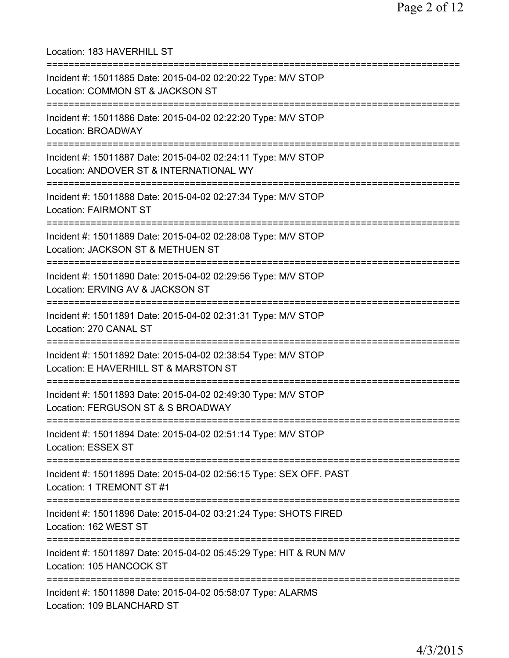Location: 183 HAVERHILL ST =========================================================================== Incident #: 15011885 Date: 2015-04-02 02:20:22 Type: M/V STOP Location: COMMON ST & JACKSON ST =========================================================================== Incident #: 15011886 Date: 2015-04-02 02:22:20 Type: M/V STOP Location: BROADWAY =========================================================================== Incident #: 15011887 Date: 2015-04-02 02:24:11 Type: M/V STOP Location: ANDOVER ST & INTERNATIONAL WY =========================================================================== Incident #: 15011888 Date: 2015-04-02 02:27:34 Type: M/V STOP Location: FAIRMONT ST =========================================================================== Incident #: 15011889 Date: 2015-04-02 02:28:08 Type: M/V STOP Location: JACKSON ST & METHUEN ST =========================================================================== Incident #: 15011890 Date: 2015-04-02 02:29:56 Type: M/V STOP Location: ERVING AV & JACKSON ST =========================================================================== Incident #: 15011891 Date: 2015-04-02 02:31:31 Type: M/V STOP Location: 270 CANAL ST =========================================================================== Incident #: 15011892 Date: 2015-04-02 02:38:54 Type: M/V STOP Location: E HAVERHILL ST & MARSTON ST =========================================================================== Incident #: 15011893 Date: 2015-04-02 02:49:30 Type: M/V STOP Location: FERGUSON ST & S BROADWAY =========================================================================== Incident #: 15011894 Date: 2015-04-02 02:51:14 Type: M/V STOP Location: ESSEX ST =========================================================================== Incident #: 15011895 Date: 2015-04-02 02:56:15 Type: SEX OFF. PAST Location: 1 TREMONT ST #1 =========================================================================== Incident #: 15011896 Date: 2015-04-02 03:21:24 Type: SHOTS FIRED Location: 162 WEST ST =========================================================================== Incident #: 15011897 Date: 2015-04-02 05:45:29 Type: HIT & RUN M/V Location: 105 HANCOCK ST =========================================================================== Incident #: 15011898 Date: 2015-04-02 05:58:07 Type: ALARMS Location: 109 BLANCHARD ST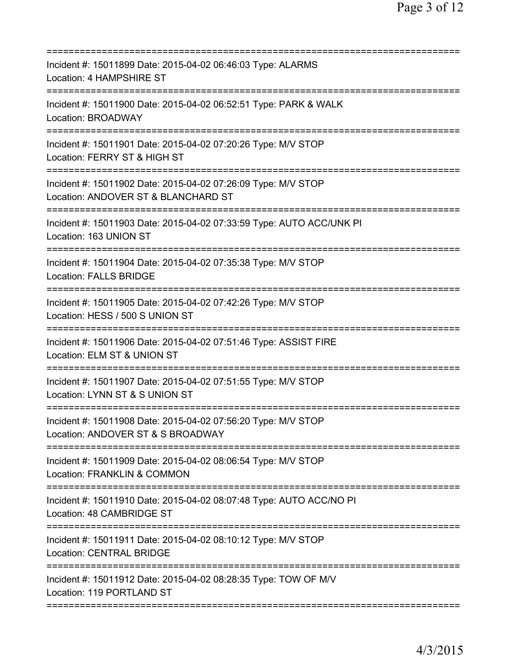| Incident #: 15011899 Date: 2015-04-02 06:46:03 Type: ALARMS<br>Location: 4 HAMPSHIRE ST                        |
|----------------------------------------------------------------------------------------------------------------|
| Incident #: 15011900 Date: 2015-04-02 06:52:51 Type: PARK & WALK<br>Location: BROADWAY                         |
| Incident #: 15011901 Date: 2015-04-02 07:20:26 Type: M/V STOP<br>Location: FERRY ST & HIGH ST                  |
| Incident #: 15011902 Date: 2015-04-02 07:26:09 Type: M/V STOP<br>Location: ANDOVER ST & BLANCHARD ST           |
| Incident #: 15011903 Date: 2015-04-02 07:33:59 Type: AUTO ACC/UNK PI<br>Location: 163 UNION ST                 |
| Incident #: 15011904 Date: 2015-04-02 07:35:38 Type: M/V STOP<br><b>Location: FALLS BRIDGE</b>                 |
| Incident #: 15011905 Date: 2015-04-02 07:42:26 Type: M/V STOP<br>Location: HESS / 500 S UNION ST<br>=========  |
| Incident #: 15011906 Date: 2015-04-02 07:51:46 Type: ASSIST FIRE<br>Location: ELM ST & UNION ST                |
| Incident #: 15011907 Date: 2015-04-02 07:51:55 Type: M/V STOP<br>Location: LYNN ST & S UNION ST<br>=========== |
| Incident #: 15011908 Date: 2015-04-02 07:56:20 Type: M/V STOP<br>Location: ANDOVER ST & S BROADWAY             |
| Incident #: 15011909 Date: 2015-04-02 08:06:54 Type: M/V STOP<br><b>Location: FRANKLIN &amp; COMMON</b>        |
| Incident #: 15011910 Date: 2015-04-02 08:07:48 Type: AUTO ACC/NO PI<br>Location: 48 CAMBRIDGE ST               |
| Incident #: 15011911 Date: 2015-04-02 08:10:12 Type: M/V STOP<br><b>Location: CENTRAL BRIDGE</b>               |
| Incident #: 15011912 Date: 2015-04-02 08:28:35 Type: TOW OF M/V<br>Location: 119 PORTLAND ST                   |
|                                                                                                                |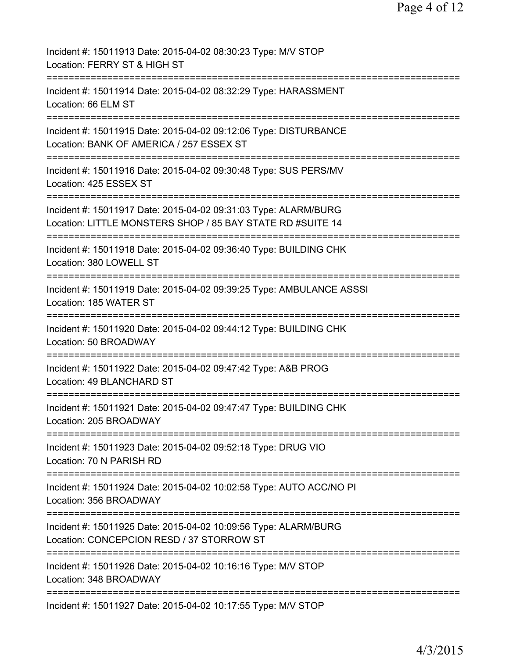| Incident #: 15011913 Date: 2015-04-02 08:30:23 Type: M/V STOP<br>Location: FERRY ST & HIGH ST                                    |
|----------------------------------------------------------------------------------------------------------------------------------|
| Incident #: 15011914 Date: 2015-04-02 08:32:29 Type: HARASSMENT<br>Location: 66 ELM ST                                           |
| Incident #: 15011915 Date: 2015-04-02 09:12:06 Type: DISTURBANCE<br>Location: BANK OF AMERICA / 257 ESSEX ST                     |
| Incident #: 15011916 Date: 2015-04-02 09:30:48 Type: SUS PERS/MV<br>Location: 425 ESSEX ST                                       |
| Incident #: 15011917 Date: 2015-04-02 09:31:03 Type: ALARM/BURG<br>Location: LITTLE MONSTERS SHOP / 85 BAY STATE RD #SUITE 14    |
| Incident #: 15011918 Date: 2015-04-02 09:36:40 Type: BUILDING CHK<br>Location: 380 LOWELL ST                                     |
| Incident #: 15011919 Date: 2015-04-02 09:39:25 Type: AMBULANCE ASSSI<br>Location: 185 WATER ST                                   |
| Incident #: 15011920 Date: 2015-04-02 09:44:12 Type: BUILDING CHK<br>Location: 50 BROADWAY                                       |
| Incident #: 15011922 Date: 2015-04-02 09:47:42 Type: A&B PROG<br>Location: 49 BLANCHARD ST                                       |
| Incident #: 15011921 Date: 2015-04-02 09:47:47 Type: BUILDING CHK<br>Location: 205 BROADWAY                                      |
| Incident #: 15011923 Date: 2015-04-02 09:52:18 Type: DRUG VIO<br>Location: 70 N PARISH RD                                        |
| Incident #: 15011924 Date: 2015-04-02 10:02:58 Type: AUTO ACC/NO PI<br>Location: 356 BROADWAY                                    |
| Incident #: 15011925 Date: 2015-04-02 10:09:56 Type: ALARM/BURG<br>Location: CONCEPCION RESD / 37 STORROW ST                     |
| =====================================<br>Incident #: 15011926 Date: 2015-04-02 10:16:16 Type: M/V STOP<br>Location: 348 BROADWAY |
| Incident #: 15011927 Date: 2015-04-02 10:17:55 Type: M/V STOP                                                                    |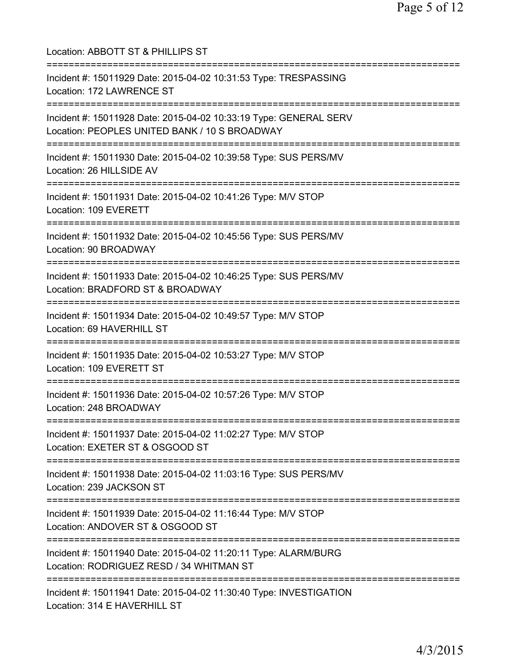| Location: ABBOTT ST & PHILLIPS ST                                                                                      |
|------------------------------------------------------------------------------------------------------------------------|
| Incident #: 15011929 Date: 2015-04-02 10:31:53 Type: TRESPASSING<br>Location: 172 LAWRENCE ST<br>===================== |
| Incident #: 15011928 Date: 2015-04-02 10:33:19 Type: GENERAL SERV<br>Location: PEOPLES UNITED BANK / 10 S BROADWAY     |
| Incident #: 15011930 Date: 2015-04-02 10:39:58 Type: SUS PERS/MV<br>Location: 26 HILLSIDE AV                           |
| Incident #: 15011931 Date: 2015-04-02 10:41:26 Type: M/V STOP<br>Location: 109 EVERETT                                 |
| Incident #: 15011932 Date: 2015-04-02 10:45:56 Type: SUS PERS/MV<br>Location: 90 BROADWAY                              |
| Incident #: 15011933 Date: 2015-04-02 10:46:25 Type: SUS PERS/MV<br>Location: BRADFORD ST & BROADWAY                   |
| Incident #: 15011934 Date: 2015-04-02 10:49:57 Type: M/V STOP<br>Location: 69 HAVERHILL ST                             |
| Incident #: 15011935 Date: 2015-04-02 10:53:27 Type: M/V STOP<br>Location: 109 EVERETT ST                              |
| Incident #: 15011936 Date: 2015-04-02 10:57:26 Type: M/V STOP<br>Location: 248 BROADWAY                                |
| Incident #: 15011937 Date: 2015-04-02 11:02:27 Type: M/V STOP<br>Location: EXETER ST & OSGOOD ST                       |
| Incident #: 15011938 Date: 2015-04-02 11:03:16 Type: SUS PERS/MV<br>Location: 239 JACKSON ST                           |
| Incident #: 15011939 Date: 2015-04-02 11:16:44 Type: M/V STOP<br>Location: ANDOVER ST & OSGOOD ST                      |
| Incident #: 15011940 Date: 2015-04-02 11:20:11 Type: ALARM/BURG<br>Location: RODRIGUEZ RESD / 34 WHITMAN ST            |
| Incident #: 15011941 Date: 2015-04-02 11:30:40 Type: INVESTIGATION<br>Location: 314 E HAVERHILL ST                     |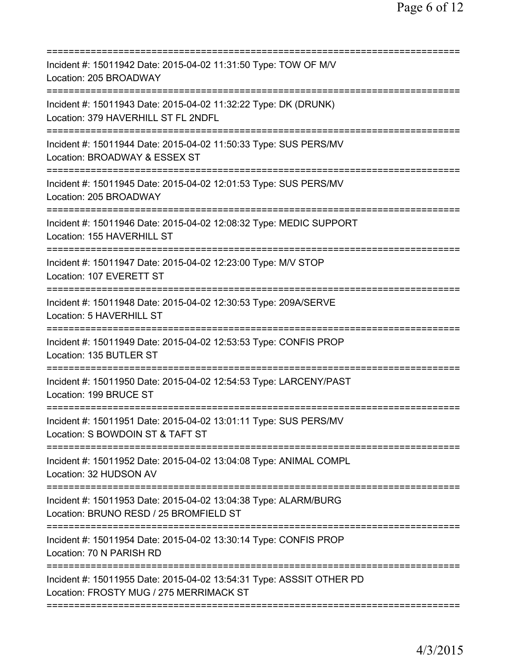| Incident #: 15011942 Date: 2015-04-02 11:31:50 Type: TOW OF M/V<br>Location: 205 BROADWAY                                   |
|-----------------------------------------------------------------------------------------------------------------------------|
| Incident #: 15011943 Date: 2015-04-02 11:32:22 Type: DK (DRUNK)<br>Location: 379 HAVERHILL ST FL 2NDFL                      |
| Incident #: 15011944 Date: 2015-04-02 11:50:33 Type: SUS PERS/MV<br>Location: BROADWAY & ESSEX ST                           |
| Incident #: 15011945 Date: 2015-04-02 12:01:53 Type: SUS PERS/MV<br>Location: 205 BROADWAY                                  |
| Incident #: 15011946 Date: 2015-04-02 12:08:32 Type: MEDIC SUPPORT<br>Location: 155 HAVERHILL ST                            |
| Incident #: 15011947 Date: 2015-04-02 12:23:00 Type: M/V STOP<br>Location: 107 EVERETT ST                                   |
| Incident #: 15011948 Date: 2015-04-02 12:30:53 Type: 209A/SERVE<br>Location: 5 HAVERHILL ST                                 |
| Incident #: 15011949 Date: 2015-04-02 12:53:53 Type: CONFIS PROP<br>Location: 135 BUTLER ST                                 |
| Incident #: 15011950 Date: 2015-04-02 12:54:53 Type: LARCENY/PAST<br>Location: 199 BRUCE ST                                 |
| Incident #: 15011951 Date: 2015-04-02 13:01:11 Type: SUS PERS/MV<br>Location: S BOWDOIN ST & TAFT ST                        |
| ============================<br>Incident #: 15011952 Date: 2015-04-02 13:04:08 Type: ANIMAL COMPL<br>Location: 32 HUDSON AV |
| Incident #: 15011953 Date: 2015-04-02 13:04:38 Type: ALARM/BURG<br>Location: BRUNO RESD / 25 BROMFIELD ST                   |
| Incident #: 15011954 Date: 2015-04-02 13:30:14 Type: CONFIS PROP<br>Location: 70 N PARISH RD                                |
| Incident #: 15011955 Date: 2015-04-02 13:54:31 Type: ASSSIT OTHER PD<br>Location: FROSTY MUG / 275 MERRIMACK ST             |
|                                                                                                                             |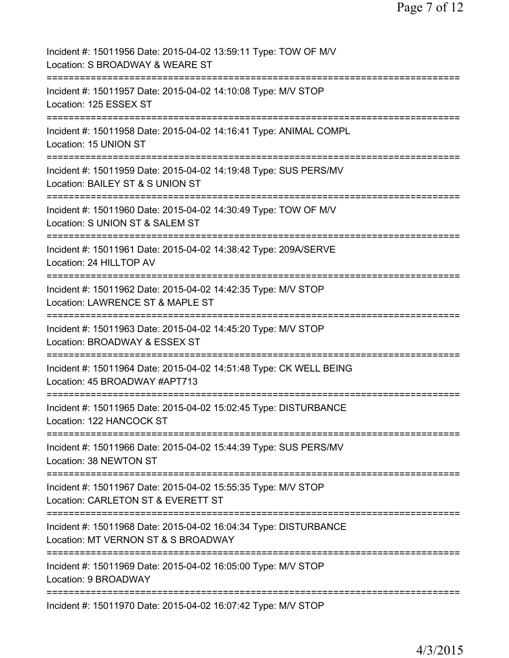| Incident #: 15011956 Date: 2015-04-02 13:59:11 Type: TOW OF M/V<br>Location: S BROADWAY & WEARE ST                                 |
|------------------------------------------------------------------------------------------------------------------------------------|
| Incident #: 15011957 Date: 2015-04-02 14:10:08 Type: M/V STOP<br>Location: 125 ESSEX ST                                            |
| Incident #: 15011958 Date: 2015-04-02 14:16:41 Type: ANIMAL COMPL<br>Location: 15 UNION ST                                         |
| Incident #: 15011959 Date: 2015-04-02 14:19:48 Type: SUS PERS/MV<br>Location: BAILEY ST & S UNION ST                               |
| Incident #: 15011960 Date: 2015-04-02 14:30:49 Type: TOW OF M/V<br>Location: S UNION ST & SALEM ST                                 |
| Incident #: 15011961 Date: 2015-04-02 14:38:42 Type: 209A/SERVE<br>Location: 24 HILLTOP AV                                         |
| Incident #: 15011962 Date: 2015-04-02 14:42:35 Type: M/V STOP<br>Location: LAWRENCE ST & MAPLE ST                                  |
| Incident #: 15011963 Date: 2015-04-02 14:45:20 Type: M/V STOP<br>Location: BROADWAY & ESSEX ST                                     |
| Incident #: 15011964 Date: 2015-04-02 14:51:48 Type: CK WELL BEING<br>Location: 45 BROADWAY #APT713                                |
| Incident #: 15011965 Date: 2015-04-02 15:02:45 Type: DISTURBANCE<br>Location: 122 HANCOCK ST                                       |
| Incident #: 15011966 Date: 2015-04-02 15:44:39 Type: SUS PERS/MV<br>Location: 38 NEWTON ST                                         |
| Incident #: 15011967 Date: 2015-04-02 15:55:35 Type: M/V STOP<br>Location: CARLETON ST & EVERETT ST<br>=========================== |
| Incident #: 15011968 Date: 2015-04-02 16:04:34 Type: DISTURBANCE<br>Location: MT VERNON ST & S BROADWAY                            |
| ==========================<br>Incident #: 15011969 Date: 2015-04-02 16:05:00 Type: M/V STOP<br>Location: 9 BROADWAY                |
| Incident #: 15011970 Date: 2015-04-02 16:07:42 Type: M/V STOP                                                                      |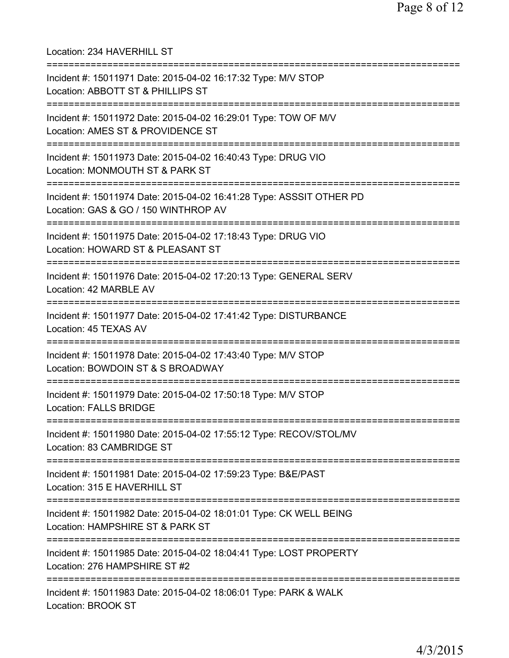| Location: 234 HAVERHILL ST<br>===============================                                                                               |
|---------------------------------------------------------------------------------------------------------------------------------------------|
| Incident #: 15011971 Date: 2015-04-02 16:17:32 Type: M/V STOP<br>Location: ABBOTT ST & PHILLIPS ST<br>===================================== |
| Incident #: 15011972 Date: 2015-04-02 16:29:01 Type: TOW OF M/V<br>Location: AMES ST & PROVIDENCE ST                                        |
| Incident #: 15011973 Date: 2015-04-02 16:40:43 Type: DRUG VIO<br>Location: MONMOUTH ST & PARK ST                                            |
| Incident #: 15011974 Date: 2015-04-02 16:41:28 Type: ASSSIT OTHER PD<br>Location: GAS & GO / 150 WINTHROP AV                                |
| ==========================<br>Incident #: 15011975 Date: 2015-04-02 17:18:43 Type: DRUG VIO<br>Location: HOWARD ST & PLEASANT ST            |
| ================================<br>Incident #: 15011976 Date: 2015-04-02 17:20:13 Type: GENERAL SERV<br>Location: 42 MARBLE AV             |
| Incident #: 15011977 Date: 2015-04-02 17:41:42 Type: DISTURBANCE<br>Location: 45 TEXAS AV                                                   |
| Incident #: 15011978 Date: 2015-04-02 17:43:40 Type: M/V STOP<br>Location: BOWDOIN ST & S BROADWAY                                          |
| Incident #: 15011979 Date: 2015-04-02 17:50:18 Type: M/V STOP<br><b>Location: FALLS BRIDGE</b>                                              |
| ====================<br>Incident #: 15011980 Date: 2015-04-02 17:55:12 Type: RECOV/STOL/MV<br>Location: 83 CAMBRIDGE ST                     |
| =================================<br>Incident #: 15011981 Date: 2015-04-02 17:59:23 Type: B&E/PAST<br>Location: 315 E HAVERHILL ST          |
| Incident #: 15011982 Date: 2015-04-02 18:01:01 Type: CK WELL BEING<br>Location: HAMPSHIRE ST & PARK ST                                      |
| Incident #: 15011985 Date: 2015-04-02 18:04:41 Type: LOST PROPERTY<br>Location: 276 HAMPSHIRE ST #2                                         |
| Incident #: 15011983 Date: 2015-04-02 18:06:01 Type: PARK & WALK<br>Location: BROOK ST                                                      |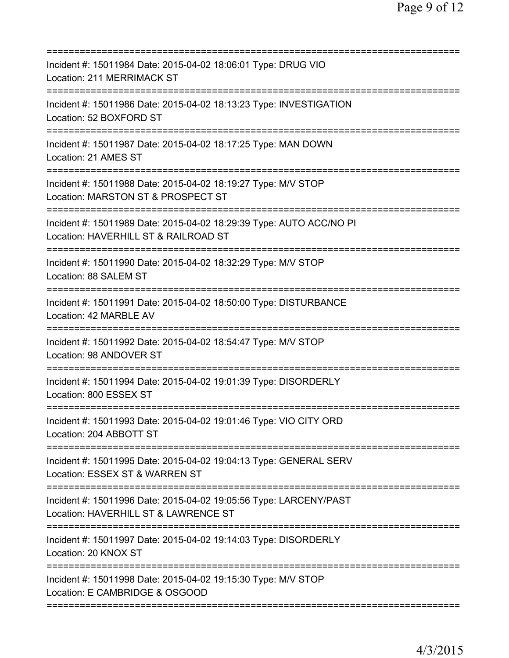| Incident #: 15011984 Date: 2015-04-02 18:06:01 Type: DRUG VIO<br>Location: 211 MERRIMACK ST                                         |
|-------------------------------------------------------------------------------------------------------------------------------------|
| Incident #: 15011986 Date: 2015-04-02 18:13:23 Type: INVESTIGATION<br>Location: 52 BOXFORD ST                                       |
| Incident #: 15011987 Date: 2015-04-02 18:17:25 Type: MAN DOWN<br>Location: 21 AMES ST                                               |
| Incident #: 15011988 Date: 2015-04-02 18:19:27 Type: M/V STOP<br>Location: MARSTON ST & PROSPECT ST<br>============================ |
| Incident #: 15011989 Date: 2015-04-02 18:29:39 Type: AUTO ACC/NO PI<br>Location: HAVERHILL ST & RAILROAD ST                         |
| ==========================<br>Incident #: 15011990 Date: 2015-04-02 18:32:29 Type: M/V STOP<br>Location: 88 SALEM ST                |
| Incident #: 15011991 Date: 2015-04-02 18:50:00 Type: DISTURBANCE<br>Location: 42 MARBLE AV                                          |
| Incident #: 15011992 Date: 2015-04-02 18:54:47 Type: M/V STOP<br>Location: 98 ANDOVER ST                                            |
| Incident #: 15011994 Date: 2015-04-02 19:01:39 Type: DISORDERLY<br>Location: 800 ESSEX ST                                           |
| Incident #: 15011993 Date: 2015-04-02 19:01:46 Type: VIO CITY ORD<br>Location: 204 ABBOTT ST                                        |
| Incident #: 15011995 Date: 2015-04-02 19:04:13 Type: GENERAL SERV<br>Location: ESSEX ST & WARREN ST                                 |
| Incident #: 15011996 Date: 2015-04-02 19:05:56 Type: LARCENY/PAST<br>Location: HAVERHILL ST & LAWRENCE ST                           |
| Incident #: 15011997 Date: 2015-04-02 19:14:03 Type: DISORDERLY<br>Location: 20 KNOX ST                                             |
| Incident #: 15011998 Date: 2015-04-02 19:15:30 Type: M/V STOP<br>Location: E CAMBRIDGE & OSGOOD                                     |
|                                                                                                                                     |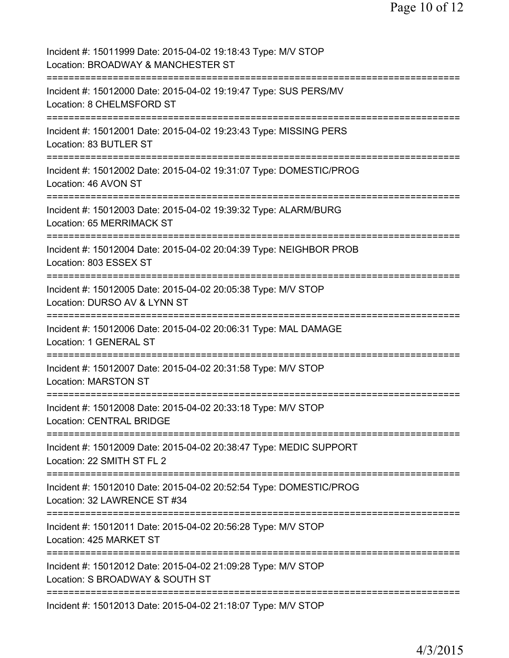| Incident #: 15011999 Date: 2015-04-02 19:18:43 Type: M/V STOP<br>Location: BROADWAY & MANCHESTER ST                              |
|----------------------------------------------------------------------------------------------------------------------------------|
| Incident #: 15012000 Date: 2015-04-02 19:19:47 Type: SUS PERS/MV<br>Location: 8 CHELMSFORD ST                                    |
| Incident #: 15012001 Date: 2015-04-02 19:23:43 Type: MISSING PERS<br>Location: 83 BUTLER ST                                      |
| Incident #: 15012002 Date: 2015-04-02 19:31:07 Type: DOMESTIC/PROG<br>Location: 46 AVON ST                                       |
| Incident #: 15012003 Date: 2015-04-02 19:39:32 Type: ALARM/BURG<br>Location: 65 MERRIMACK ST                                     |
| Incident #: 15012004 Date: 2015-04-02 20:04:39 Type: NEIGHBOR PROB<br>Location: 803 ESSEX ST                                     |
| Incident #: 15012005 Date: 2015-04-02 20:05:38 Type: M/V STOP<br>Location: DURSO AV & LYNN ST                                    |
| Incident #: 15012006 Date: 2015-04-02 20:06:31 Type: MAL DAMAGE<br>Location: 1 GENERAL ST                                        |
| Incident #: 15012007 Date: 2015-04-02 20:31:58 Type: M/V STOP<br><b>Location: MARSTON ST</b>                                     |
| Incident #: 15012008 Date: 2015-04-02 20:33:18 Type: M/V STOP<br><b>Location: CENTRAL BRIDGE</b>                                 |
| Incident #: 15012009 Date: 2015-04-02 20:38:47 Type: MEDIC SUPPORT<br>Location: 22 SMITH ST FL 2                                 |
| Incident #: 15012010 Date: 2015-04-02 20:52:54 Type: DOMESTIC/PROG<br>Location: 32 LAWRENCE ST #34                               |
| Incident #: 15012011 Date: 2015-04-02 20:56:28 Type: M/V STOP<br>Location: 425 MARKET ST                                         |
| ============================<br>Incident #: 15012012 Date: 2015-04-02 21:09:28 Type: M/V STOP<br>Location: S BROADWAY & SOUTH ST |
| Incident #: 15012013 Date: 2015-04-02 21:18:07 Type: M/V STOP                                                                    |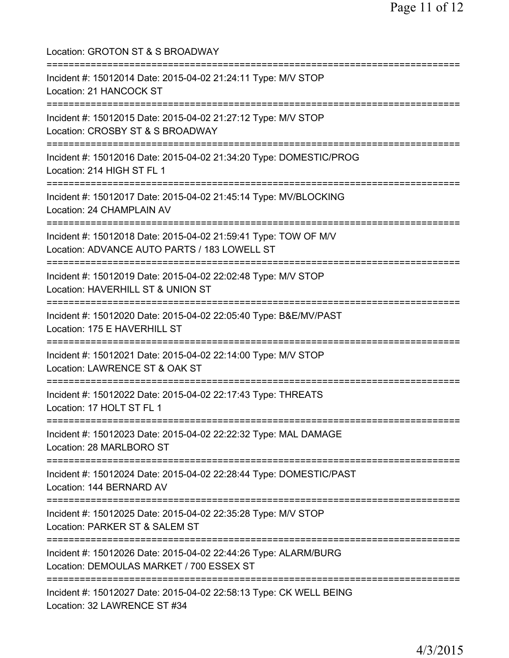| Location: GROTON ST & S BROADWAY<br>===============================                                                                                     |
|---------------------------------------------------------------------------------------------------------------------------------------------------------|
| Incident #: 15012014 Date: 2015-04-02 21:24:11 Type: M/V STOP<br>Location: 21 HANCOCK ST<br>====================================                        |
| Incident #: 15012015 Date: 2015-04-02 21:27:12 Type: M/V STOP<br>Location: CROSBY ST & S BROADWAY                                                       |
| Incident #: 15012016 Date: 2015-04-02 21:34:20 Type: DOMESTIC/PROG<br>Location: 214 HIGH ST FL 1                                                        |
| Incident #: 15012017 Date: 2015-04-02 21:45:14 Type: MV/BLOCKING<br>Location: 24 CHAMPLAIN AV                                                           |
| ===================<br>Incident #: 15012018 Date: 2015-04-02 21:59:41 Type: TOW OF M/V<br>Location: ADVANCE AUTO PARTS / 183 LOWELL ST                  |
| Incident #: 15012019 Date: 2015-04-02 22:02:48 Type: M/V STOP<br>Location: HAVERHILL ST & UNION ST                                                      |
| Incident #: 15012020 Date: 2015-04-02 22:05:40 Type: B&E/MV/PAST<br>Location: 175 E HAVERHILL ST                                                        |
| Incident #: 15012021 Date: 2015-04-02 22:14:00 Type: M/V STOP<br>Location: LAWRENCE ST & OAK ST                                                         |
| Incident #: 15012022 Date: 2015-04-02 22:17:43 Type: THREATS<br>Location: 17 HOLT ST FL 1                                                               |
| =====================================<br>===============<br>Incident #: 15012023 Date: 2015-04-02 22:22:32 Type: MAL DAMAGE<br>Location: 28 MARLBORO ST |
| ===================================<br>Incident #: 15012024 Date: 2015-04-02 22:28:44 Type: DOMESTIC/PAST<br>Location: 144 BERNARD AV                   |
| Incident #: 15012025 Date: 2015-04-02 22:35:28 Type: M/V STOP<br>Location: PARKER ST & SALEM ST                                                         |
| Incident #: 15012026 Date: 2015-04-02 22:44:26 Type: ALARM/BURG<br>Location: DEMOULAS MARKET / 700 ESSEX ST                                             |
| Incident #: 15012027 Date: 2015-04-02 22:58:13 Type: CK WELL BEING<br>Location: 32 LAWRENCE ST #34                                                      |